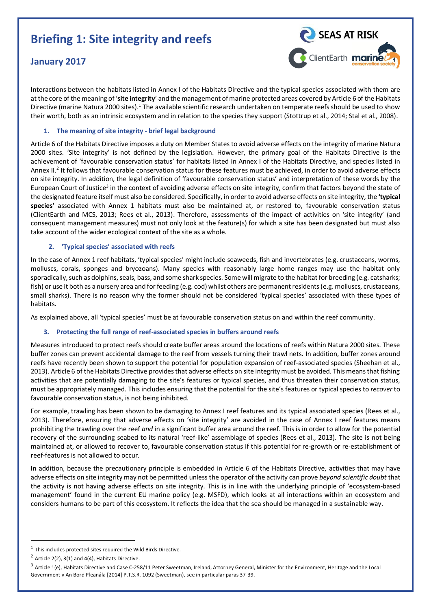# **Briefing 1: Site integrity and reefs**

# **January 2017**



Interactions between the habitats listed in Annex I of the Habitats Directive and the typical species associated with them are at the core of the meaning of '**site integrity**' and the management ofmarine protected areas covered by Article 6 of the Habitats Directive (marine Natura 2000 sites).<sup>1</sup> The available scientific research undertaken on temperate reefs should be used to show their worth, both as an intrinsic ecosystem and in relation to the species they support (Stottrup et al., 2014; Stal et al., 2008).

## **1. The meaning of site integrity - brief legal background**

Article 6 of the Habitats Directive imposes a duty on Member States to avoid adverse effects on the integrity of marine Natura 2000 sites. 'Site integrity' is not defined by the legislation. However, the primary goal of the Habitats Directive is the achievement of 'favourable conservation status' for habitats listed in Annex I of the Habitats Directive, and species listed in Annex II.<sup>2</sup> It follows that favourable conservation status for these features must be achieved, in order to avoid adverse effects on site integrity. In addition, the legal definition of 'favourable conservation status' and interpretation of these words by the European Court of Justice<sup>3</sup> in the context of avoiding adverse effects on site integrity, confirm that factors beyond the state of the designated feature itself must also be considered. Specifically, in order to avoid adverse effects on site integrity, the **'typical species'** associated with Annex 1 habitats must also be maintained at, or restored to, favourable conservation status (ClientEarth and MCS, 2013; Rees et al., 2013). Therefore, assessments of the impact of activities on 'site integrity' (and consequent management measures) must not only look at the feature(s) for which a site has been designated but must also take account of the wider ecological context of the site as a whole.

## **2. 'Typical species' associated with reefs**

In the case of Annex 1 reef habitats, 'typical species' might include seaweeds, fish and invertebrates (e.g. crustaceans, worms, molluscs, corals, sponges and bryozoans). Many species with reasonably large home ranges may use the habitat only sporadically, such as dolphins, seals, bass, and some shark species. Some will migrate to the habitat for breeding (e.g. catsharks; fish) or use it both as a nursery area and for feeding (e.g. cod) whilst others are permanent residents (e.g. molluscs, crustaceans, small sharks). There is no reason why the former should not be considered 'typical species' associated with these types of habitats.

As explained above, all 'typical species' must be at favourable conservation status on and within the reef community.

#### **3. Protecting the full range of reef-associated species in buffers around reefs**

Measures introduced to protect reefs should create buffer areas around the locations of reefs within Natura 2000 sites. These buffer zones can prevent accidental damage to the reef from vessels turning their trawl nets. In addition, buffer zones around reefs have recently been shown to support the potential for population expansion of reef-associated species (Sheehan et al., 2013). Article 6 of the Habitats Directive provides that adverse effects on site integrity must be avoided. This means that fishing activities that are potentially damaging to the site's features or typical species, and thus threaten their conservation status, must be appropriately managed. This includes ensuring that the potential for the site's features or typical species to *recover* to favourable conservation status, is not being inhibited.

For example, trawling has been shown to be damaging to Annex I reef features and its typical associated species (Rees et al., 2013). Therefore, ensuring that adverse effects on 'site integrity' are avoided in the case of Annex I reef features means prohibiting the trawling over the reef *and* in a significant buffer area around the reef. This is in order to allow for the potential recovery of the surrounding seabed to its natural 'reef-like' assemblage of species (Rees et al., 2013). The site is not being maintained at, or allowed to recover to, favourable conservation status if this potential for re-growth or re-establishment of reef-features is not allowed to occur.

In addition, because the precautionary principle is embedded in Article 6 of the Habitats Directive, activities that may have adverse effects on site integrity may not be permitted unless the operator of the activity can prove *beyond scientific doubt* that the activity is not having adverse effects on site integrity. This is in line with the underlying principle of 'ecosystem-based management' found in the current EU marine policy (e.g. MSFD), which looks at all interactions within an ecosystem and considers humans to be part of this ecosystem. It reflects the idea that the sea should be managed in a sustainable way.

 $\overline{a}$ 

 $1$  This includes protected sites required the Wild Birds Directive.

 $2$  Article 2(2), 3(1) and 4(4), Habitats Directive.

 $^3$  Article 1(e), Habitats Directive and Case C-258/11 Peter Sweetman, Ireland, Attorney General, Minister for the Environment, Heritage and the Local Government v An Bord Pleanála [2014] P.T.S.R. 1092 (Sweetman), see in particular paras 37-39.